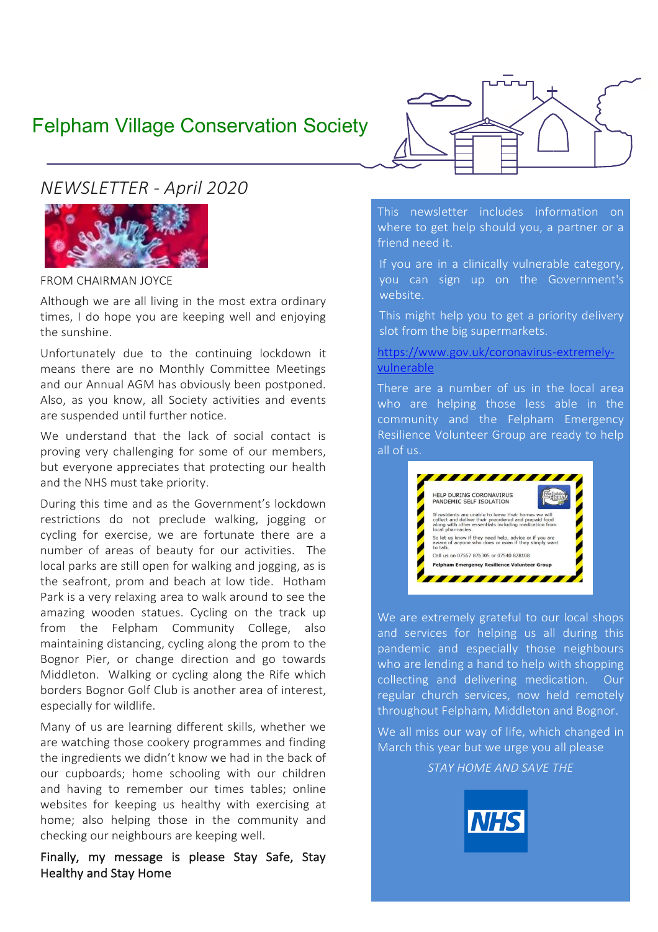# Felpham Village Conservation Society

*NEWSLETTER - April 2020*



FROM CHAIRMAN JOYCE

Although we are all living in the most extra ordinary times, I do hope you are keeping well and enjoying the sunshine.

Unfortunately due to the continuing lockdown it means there are no Monthly Committee Meetings and our Annual AGM has obviously been postponed. Also, as you know, all Society activities and events are suspended until further notice.

We understand that the lack of social contact is proving very challenging for some of our members, but everyone appreciates that protecting our health and the NHS must take priority.

During this time and as the Government's lockdown restrictions do not preclude walking, jogging or cycling for exercise, we are fortunate there are a number of areas of beauty for our activities. The local parks are still open for walking and jogging, as is the seafront, prom and beach at low tide. Hotham Park is a very relaxing area to walk around to see the amazing wooden statues. Cycling on the track up from the Felpham Community College, also maintaining distancing, cycling along the prom to the Bognor Pier, or change direction and go towards Middleton. Walking or cycling along the Rife which borders Bognor Golf Club is another area of interest, especially for wildlife.

Many of us are learning different skills, whether we are watching those cookery programmes and finding the ingredients we didn't know we had in the back of our cupboards; home schooling with our children and having to remember our times tables; online websites for keeping us healthy with exercising at home; also helping those in the community and checking our neighbours are keeping well.

Finally, my message is please Stay Safe, Stay Healthy and Stay Home



This newsletter includes information on where to get help should you, a partner or a friend need it.

If you are in a clinically vulnerable category, you can sign up on the Government's website.

This might help you to get a priority delivery slot from the big supermarkets.

[https://www.gov.uk/coronavirus-extremely](https://www.gov.uk/coronavirus-extremely-vulnerable)[vulnerable](https://www.gov.uk/coronavirus-extremely-vulnerable)

There are a number of us in the local area who are helping those less able in the community and the Felpham Emergency Resilience Volunteer Group are ready to help all of us.



We are extremely grateful to our local shops and services for helping us all during this pandemic and especially those neighbours who are lending a hand to help with shopping collecting and delivering medication. Our regular church services, now held remotely throughout Felpham, Middleton and Bognor.

We all miss our way of life, which changed in March this year but we urge you all please

*STAY HOME AND SAVE THE*